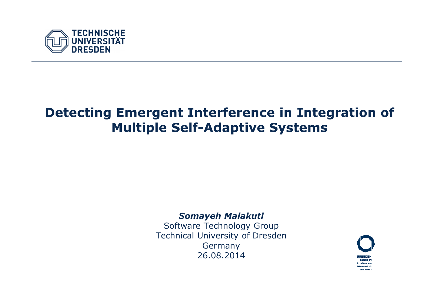

## Detecting Emergent Interference in Integration of Multiple Self-Adaptive Systems

Fachrichtung XYZ Institutsname XYZ, Professur XYZ

#### Somayeh Malakuti

 Software Technology Group Technical University of DresdenGermany26.08.2014

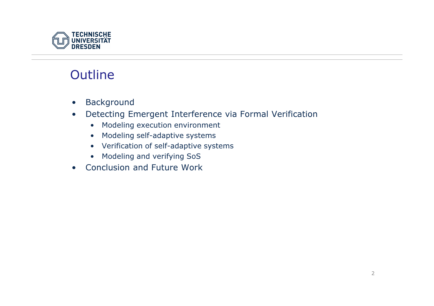

## **Outline**

- •Background
- Detecting Emergent Interference via Formal Verification $\bullet$ 
	- •Modeling execution environment
	- Modeling self-adaptive systems
	- Verification of self-adaptive systems
	- Modeling and verifying SoS
- Conclusion and Future Work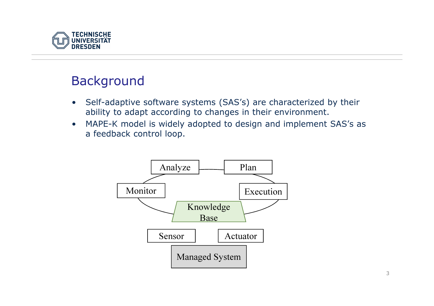

## Background

- $\bullet$  Self-adaptive software systems (SAS's) are characterized by their ability to adapt according to changes in their environment.
- • MAPE-K model is widely adopted to design and implement SAS's as a feedback control loop.

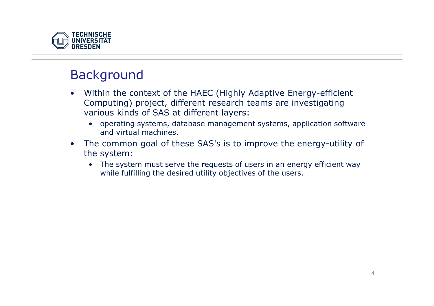

#### Background

- • Within the context of the HAEC (Highly Adaptive Energy-efficient Computing) project, different research teams are investigating various kinds of SAS at different layers:
	- operating systems, database management systems, application software and virtual machines.
- $\bullet$  The common goal of these SAS's is to improve the energy-utility of the system:
	- The system must serve the requests of users in an energy efficient way while fulfilling the desired utility objectives of the users.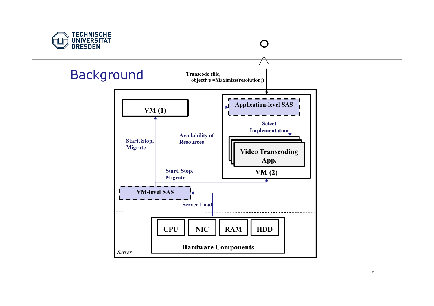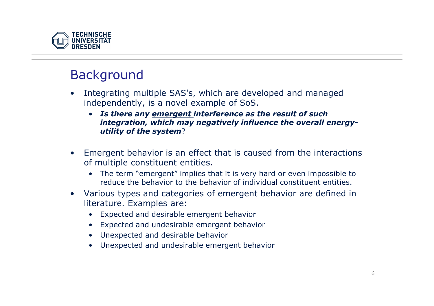

## Background

- $\bullet$  Integrating multiple SAS's, which are developed and managed independently, is a novel example of SoS.
	- Is there any <u>emergent interference as the result of such</u> integration, which may negatively influence the overall energyutility of the system?
- • Emergent behavior is an effect that is caused from the interactions of multiple constituent entities.
	- The term "emergent" implies that it is very hard or even impossible to reduce the behavior to the behavior of individual constituent entities.
- $\bullet$  Various types and categories of emergent behavior are defined in literature. Examples are:
	- Expected and desirable emergent behavior
	- Expected and undesirable emergent behavior
	- Unexpected and desirable behavior
	- •Unexpected and undesirable emergent behavior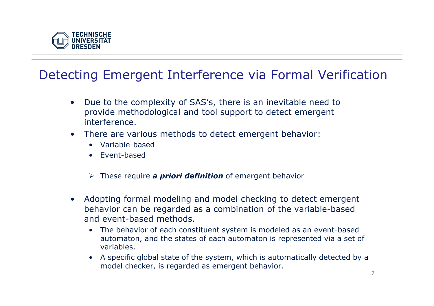

## Detecting Emergent Interference via Formal Verification

- • Due to the complexity of SAS's, there is an inevitable need to provide methodological and tool support to detect emergent interference.
- $\bullet$  There are various methods to detect emergent behavior:
	- Variable-based
	- Event-based
	- > These require **a priori definition** of emergent behavior
- • Adopting formal modeling and model checking to detect emergent behavior can be regarded as a combination of the variable-based and event-based methods.
	- $\bullet$  The behavior of each constituent system is modeled as an event-based automaton, and the states of each automaton is represented via a set of variables.
	- A specific global state of the system, which is automatically detected by a model checker, is regarded as emergent behavior.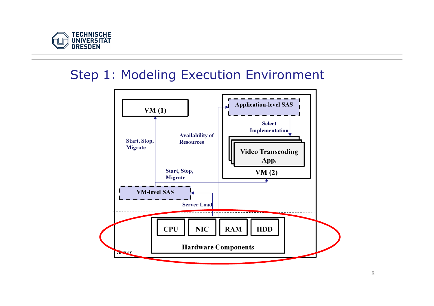

#### Step 1: Modeling Execution Environment

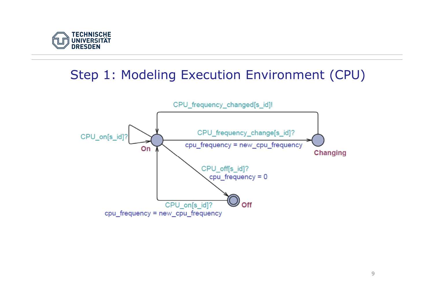

## Step 1: Modeling Execution Environment (CPU)

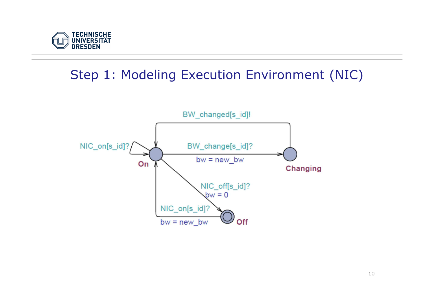

## Step 1: Modeling Execution Environment (NIC)

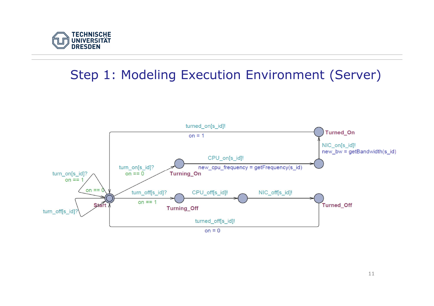

## Step 1: Modeling Execution Environment (Server)

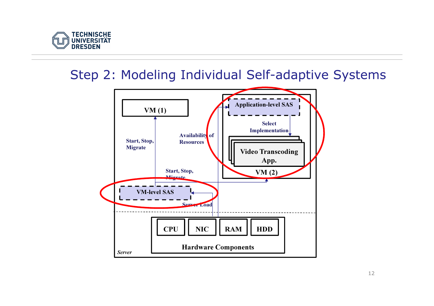

## Step 2: Modeling Individual Self-adaptive Systems

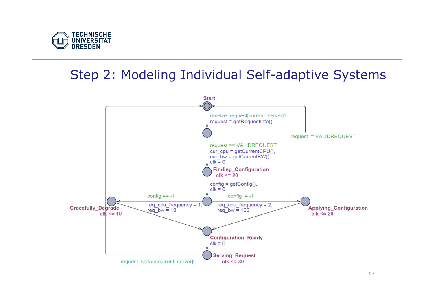

## Step 2: Modeling Individual Self-adaptive Systems



13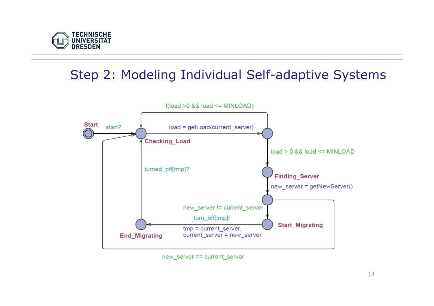

# Step 2: Modeling Individual Self-adaptive Systems



new server == current server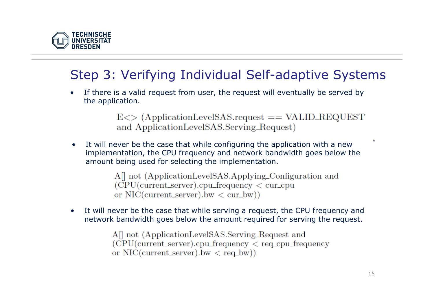

# Step 3: Verifying Individual Self-adaptive Systems

• If there is a valid request from user, the request will eventually be served by the application.

> $E \ll \sim$  (ApplicationLevelSAS.request == VALID\_REQUEST) and ApplicationLevelSAS.Serving\_Request)

• It will never be the case that while configuring the application with a new implementation, the CPU frequency and network bandwidth goes below the amount being used for selecting the implementation.

> All not (ApplicationLevelSAS.Applying\_Configuration and  $(CPU(current\_server).cpu\_frequency < cur_cpu$ or  $NIC(current\_server)$ .bw  $\lt$  cur\_bw))

• It will never be the case that while serving a request, the CPU frequency and network bandwidth goes below the amount required for serving the request.

> All not (ApplicationLevelSAS.Serving\_Request and  $(CPU(current_server).cpu_frequency < req_cput_frequency$ or  $NIC(current_server)$ .bw  $\langle$  req.bw)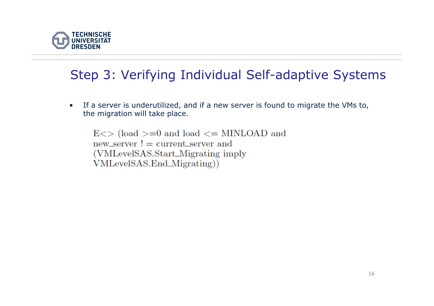

# Step 3: Verifying Individual Self-adaptive Systems

• If a server is underutilized, and if a new server is found to migrate the VMs to, the migration will take place.

 $E \ll$  (load  $>= 0$  and load  $\ll =$  MINLOAD and  $new\_server$ ! = current\_server and (VMLevelSAS.Start\_Migrating imply) VMLevelSAS.End\_Migrating))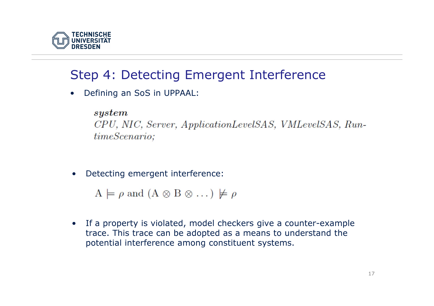

## Step 4: Detecting Emergent Interference

•Defining an SoS in UPPAAL:

#### $system$

CPU, NIC, Server, ApplicationLevelSAS, VMLevelSAS, RuntimeScenario;

•Detecting emergent interference:

 $A \models \rho$  and  $(A \otimes B \otimes \dots) \not\models \rho$ 

 $\bullet$  If a property is violated, model checkers give a counter-example trace. This trace can be adopted as a means to understand the potential interference among constituent systems.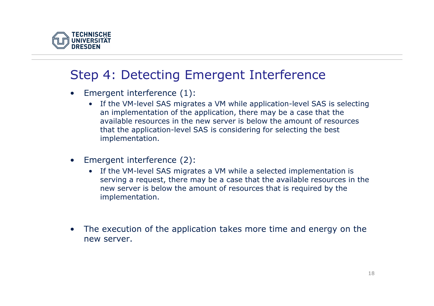

## Step 4: Detecting Emergent Interference

- $\bullet$  Emergent interference (1):
	- If the VM-level SAS migrates a VM while application-level SAS is selecting an implementation of the application, there may be a case that the available resources in the new server is below the amount of resources that the application-level SAS is considering for selecting the best implementation.
- $\bullet$  Emergent interference (2):
	- If the VM-level SAS migrates a VM while a selected implementation is serving a request, there may be a case that the available resources in the new server is below the amount of resources that is required by the implementation.
- • The execution of the application takes more time and energy on the new server.